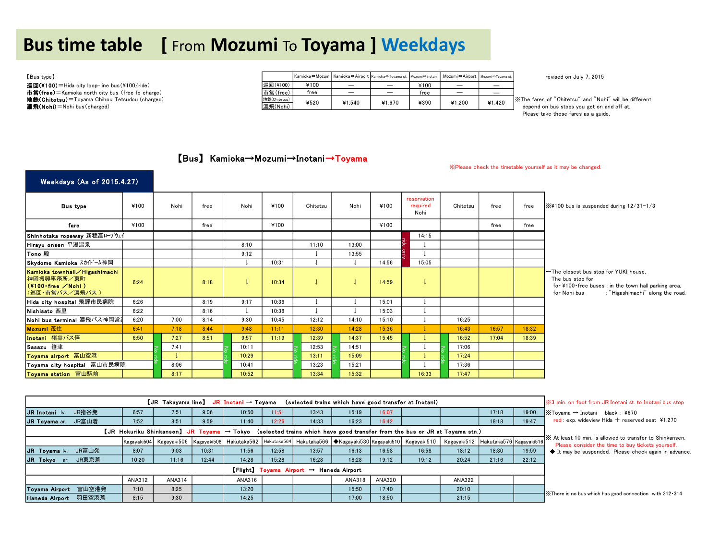# **Bus time table [** From **Mozumi** To **Toyama ] Weekdays**

| [Bus type]                                         |              | Kamioka⇔Mozumi Kamioka⇔Airport Kamioka⇔Toyama st. Mozumi⇔Inotani Mozumi⇔Airport Mozumi⇔Toyama st. |                          |        |      |                          |        | revised on July 7, 2015                                |
|----------------------------------------------------|--------------|---------------------------------------------------------------------------------------------------|--------------------------|--------|------|--------------------------|--------|--------------------------------------------------------|
| 巡回(¥100) = Hida city loop-line bus (¥100/ride)     | 巡回(¥100)     | ¥100                                                                                              | $\overline{\phantom{a}}$ | -      | ¥100 | $\overline{\phantom{a}}$ | _      |                                                        |
| 市営(free) = Kamioka north city bus (free fo charge) | 市営(free)     | free                                                                                              | $\overline{\phantom{a}}$ | -      | free | $\overline{\phantom{a}}$ | _      |                                                        |
| 地鉄(Chitetsu) = Toyama Chihou Tetsudou (charged)    | 地鉄(Chitetsu) | ¥520                                                                                              | ¥1.540                   | ¥1.670 | ¥390 | ¥1.200                   | ¥1.420 | X The fares of "Chitetsu" and "Nohi" will be different |
| 濃飛(Nohi) = Nohi bus (charged)                      | 濃飛(Nohi)     |                                                                                                   |                          |        |      |                          |        | depend on bus stops you get on and off at.             |

Please take these fares as a guide.

### 【Bus】 Kamioka→Mozumi→Inotani→Toyama

※Please check the timetable yourself as it may be changed.

### Weekdays (As of 2015.4.27)

| <b>Bus type</b>                                                                              | ¥100 | Nohi | free | Nohi  | ¥100  | Chitetsu | Nohi  | ¥100  | reservation<br>required<br>Nohi | Chitetsu | free  | free  | $\frac{1}{2}$ X4100 bus is suspended during $12/31 - 1/3$                                                                                                             |
|----------------------------------------------------------------------------------------------|------|------|------|-------|-------|----------|-------|-------|---------------------------------|----------|-------|-------|-----------------------------------------------------------------------------------------------------------------------------------------------------------------------|
| fare                                                                                         | ¥100 |      | free |       | ¥100  |          |       | ¥100  |                                 |          | free  | free  |                                                                                                                                                                       |
| Shinhotaka ropeway 新穂高ロープウェイ                                                                 |      |      |      |       |       |          |       |       | 14:15                           |          |       |       |                                                                                                                                                                       |
| Hirayu onsen 平湯温泉                                                                            |      |      |      | 8:10  |       | 11:10    | 13:00 |       |                                 |          |       |       |                                                                                                                                                                       |
| Tono 殿                                                                                       |      |      |      | 9:12  |       |          | 13:55 |       |                                 |          |       |       |                                                                                                                                                                       |
| Skydome Kamioka スカイドーム神岡                                                                     |      |      |      |       | 10:31 |          |       | 14:56 | 15:05                           |          |       |       |                                                                                                                                                                       |
| Kamioka townhall∕Higashimachi<br>神岡振興事務所/東町<br>$(4100$ free $\angle$ Nohi)<br>(巡回・市営バス/濃飛バス) | 6:24 |      | 8:18 |       | 10:34 |          |       | 14:59 |                                 |          |       |       | ←The closest bus stop for YUKI house.<br>The bus stop for<br>for ¥100 free buses : in the town hall parking area.<br>: "Higashimachi" along the road.<br>for Nohi bus |
| Hida city hospital 飛騨市民病院                                                                    | 6:26 |      | 8:19 | 9:17  | 10:36 |          |       | 15:01 |                                 |          |       |       |                                                                                                                                                                       |
| Nishisato 西里                                                                                 | 6:22 |      | 8:16 |       | 10:38 |          |       | 15:03 |                                 |          |       |       |                                                                                                                                                                       |
| Nohi bus terminal 濃飛バス神岡営                                                                    | 6:20 | 7:00 | 8:14 | 9:30  | 10:45 | 12:12    | 14:10 | 15:10 |                                 | 16:25    |       |       |                                                                                                                                                                       |
| Mozumi 茂住                                                                                    | 6:41 | 7:18 | 8:44 | 9:48  | 11:11 | 12:30    | 14:28 | 15:36 |                                 | 16:43    | 16:57 | 18:32 |                                                                                                                                                                       |
| Inotani 猪谷バス停                                                                                | 6:50 | 7:27 | 8:51 | 9:57  | 11:19 | 12:39    | 14:37 | 15:45 |                                 | 16:52    | 17:04 | 18:39 |                                                                                                                                                                       |
| Sasazu 笹津                                                                                    |      | 7:41 |      | 10:11 |       | 12:53    | 14:51 |       |                                 | 17:06    |       |       |                                                                                                                                                                       |
| Toyama airport 富山空港                                                                          |      |      |      | 10:29 |       | 13:11    | 15:09 |       |                                 | 17:24    |       |       |                                                                                                                                                                       |
| Toyama city hospital 富山市民病院                                                                  |      | 8:06 |      | 10:41 |       | 13:23    | 15:21 |       |                                 | 17:36    |       |       |                                                                                                                                                                       |
| Toyama station 富山駅前                                                                          |      | 8:17 |      | 10:52 |       | 13:34    | 15:32 |       | 16:33                           | 17:47    |       |       |                                                                                                                                                                       |

|                                                                                                                                       |        |        |       | 【JR Takayama line】 JR Inotani → Toyama |       | (selected trains which have good transfer at Inotani) |        |        |                                                                                                                                                  |               |       |       | i <sup>‰</sup> 3 min, on foot from JR Inotani st, to Inotani bus stop                                          |
|---------------------------------------------------------------------------------------------------------------------------------------|--------|--------|-------|----------------------------------------|-------|-------------------------------------------------------|--------|--------|--------------------------------------------------------------------------------------------------------------------------------------------------|---------------|-------|-------|----------------------------------------------------------------------------------------------------------------|
| JR猪谷発<br>JR Inotani Iv.                                                                                                               | 6:57   | 7:51   | 9:06  | 10:50                                  | 11:51 | 13:43                                                 | 15:19  | 16:07  |                                                                                                                                                  |               | 17:18 | 19:00 | $\mathbb{K}$ Tovama $\rightarrow$ Inotani black : ¥670                                                         |
| JR富山着<br>JR Toyama ar.                                                                                                                | 7:52   | 8:51   | 9:59  | 11:40                                  | 12:26 | 14:33                                                 | 16:23  | 16:42  |                                                                                                                                                  |               | 18:18 | 19:47 | red: exp. wideview Hida $+$ reserved seat ¥1.270                                                               |
| $[JR$ Hokuriku Shinkansen] JR Toyama $\rightarrow$ Tokyo (selected trains which have good transfer from the bus or JR at Toyama stn.) |        |        |       |                                        |       |                                                       |        |        |                                                                                                                                                  |               |       |       |                                                                                                                |
|                                                                                                                                       |        |        |       |                                        |       |                                                       |        |        | Kagayaki504 Kagayaki506 Kagayaki508 Hakutaka562 Hakutaka564 Hakutaka566 ◆Kagayaki530 Kagayaki510 Kagayaki510 Kagayaki510 Hakutaka576 Kagayaki516 |               |       |       | XX At least 10 min, is allowed to transfer to Shinkansen.<br>Please consider the time to buy tickets yourself. |
| JR Toyama Iv.<br>JR富山発                                                                                                                | 8:07   | 9:03   | 10:31 | 11:56                                  | 12:58 | 13:57                                                 | 16:13  | 16:58  | 16:58                                                                                                                                            | 18:12         | 18:30 | 19:59 | It may be suspended. Please check again in advance.                                                            |
| JR東京着<br>JR Tokyo ar.                                                                                                                 | 10:20  | 11:16  | 12:44 | 14:28                                  | 15:28 | 16:28                                                 | 18:28  | 19:12  | 19:12                                                                                                                                            | 20:24         | 21:16 | 22:12 |                                                                                                                |
|                                                                                                                                       |        |        |       |                                        |       | [Flight] Toyama Airport → Haneda Airport              |        |        |                                                                                                                                                  |               |       |       |                                                                                                                |
|                                                                                                                                       | ANA312 | ANA314 |       | ANA316                                 |       |                                                       | ANA318 | ANA320 |                                                                                                                                                  | <b>ANA322</b> |       |       |                                                                                                                |
| Toyama Airport 富山空港発                                                                                                                  | 7:10   | 8:25   |       | 13:20                                  |       |                                                       | 15:50  | 17:40  |                                                                                                                                                  | 20:10         |       |       | X There is no bus which has good connection with 312 314                                                       |
| Haneda Airport 羽田空港着                                                                                                                  | 8:15   | 9:30   |       | 14:25                                  |       |                                                       | 17:00  | 18:50  |                                                                                                                                                  | 21:15         |       |       |                                                                                                                |